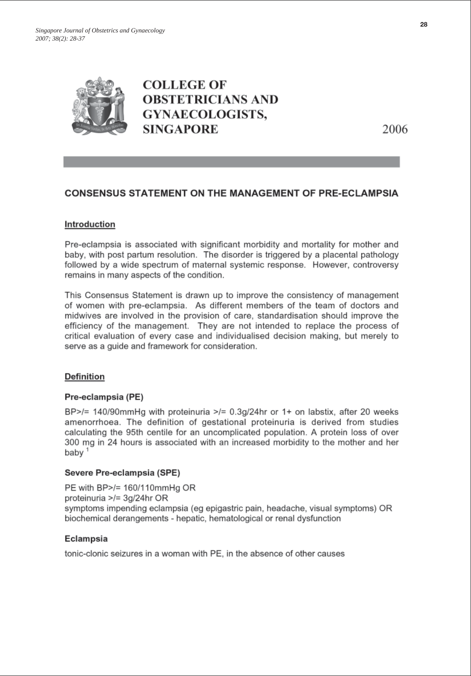

2006

# **CONSENSUS STATEMENT ON THE MANAGEMENT OF PRE-ECLAMPSIA**

## Introduction

Pre-eclampsia is associated with significant morbidity and mortality for mother and baby, with post partum resolution. The disorder is triggered by a placental pathology followed by a wide spectrum of maternal systemic response. However, controversy remains in many aspects of the condition.

This Consensus Statement is drawn up to improve the consistency of management of women with pre-eclampsia. As different members of the team of doctors and midwives are involved in the provision of care, standardisation should improve the efficiency of the management. They are not intended to replace the process of critical evaluation of every case and individualised decision making, but merely to serve as a guide and framework for consideration.

### **Definition**

### Pre-eclampsia (PE)

BP>/= 140/90mmHg with proteinuria >/=  $0.3q/24$ hr or 1+ on labstix, after 20 weeks amenorrhoea. The definition of gestational proteinuria is derived from studies calculating the 95th centile for an uncomplicated population. A protein loss of over 300 mg in 24 hours is associated with an increased morbidity to the mother and her baby<sup>1</sup>

### Severe Pre-eclampsia (SPE)

PE with BP>/= 160/110mmHq OR proteinuria >/= 3q/24hr OR symptoms impending eclampsia (eg epigastric pain, headache, visual symptoms) OR biochemical derangements - hepatic, hematological or renal dysfunction

### Eclampsia

tonic-clonic seizures in a woman with PE, in the absence of other causes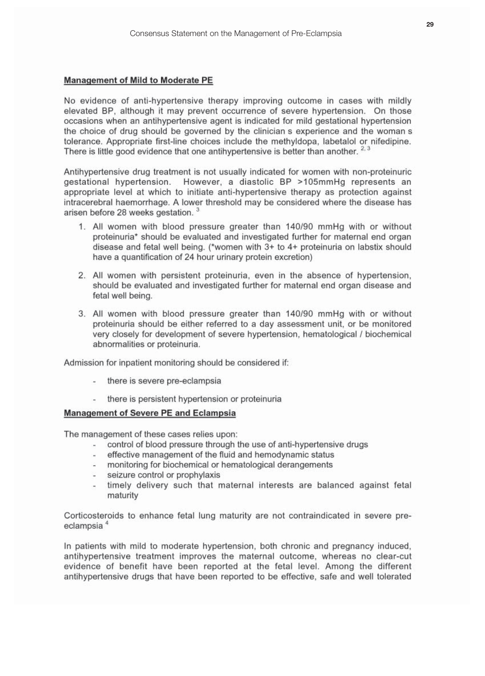#### **Management of Mild to Moderate PE**

No evidence of anti-hypertensive therapy improving outcome in cases with mildly elevated BP, although it may prevent occurrence of severe hypertension. On those occasions when an antihypertensive agent is indicated for mild gestational hypertension the choice of drug should be governed by the clinician s experience and the woman s tolerance. Appropriate first-line choices include the methyldopa, labetalol or nifedipine. There is little good evidence that one antihypertensive is better than another.<sup>2,3</sup>

Antihypertensive drug treatment is not usually indicated for women with non-proteinuric gestational hypertension. However, a diastolic BP >105mmHg represents an appropriate level at which to initiate anti-hypertensive therapy as protection against intracerebral haemorrhage. A lower threshold may be considered where the disease has arisen before 28 weeks gestation.<sup>3</sup>

- 1. All women with blood pressure greater than 140/90 mmHg with or without proteinuria\* should be evaluated and investigated further for maternal end organ disease and fetal well being. (\*women with 3+ to 4+ proteinuria on labstix should have a quantification of 24 hour urinary protein excretion)
- 2. All women with persistent proteinuria, even in the absence of hypertension, should be evaluated and investigated further for maternal end organ disease and fetal well being.
- 3. All women with blood pressure greater than 140/90 mmHg with or without proteinuria should be either referred to a day assessment unit, or be monitored very closely for development of severe hypertension, hematological / biochemical abnormalities or proteinuria.

Admission for inpatient monitoring should be considered if:

- there is severe pre-eclampsia
- there is persistent hypertension or proteinuria

### **Management of Severe PE and Eclampsia**

The management of these cases relies upon:

- control of blood pressure through the use of anti-hypertensive drugs
- effective management of the fluid and hemodynamic status
- monitoring for biochemical or hematological derangements  $\omega_{\rm{eff}}$
- seizure control or prophylaxis
- timely delivery such that maternal interests are balanced against fetal maturity

Corticosteroids to enhance fetal lung maturity are not contraindicated in severe preeclampsia<sup>4</sup>

In patients with mild to moderate hypertension, both chronic and pregnancy induced, antihypertensive treatment improves the maternal outcome, whereas no clear-cut evidence of benefit have been reported at the fetal level. Among the different antihvpertensive drugs that have been reported to be effective, safe and well tolerated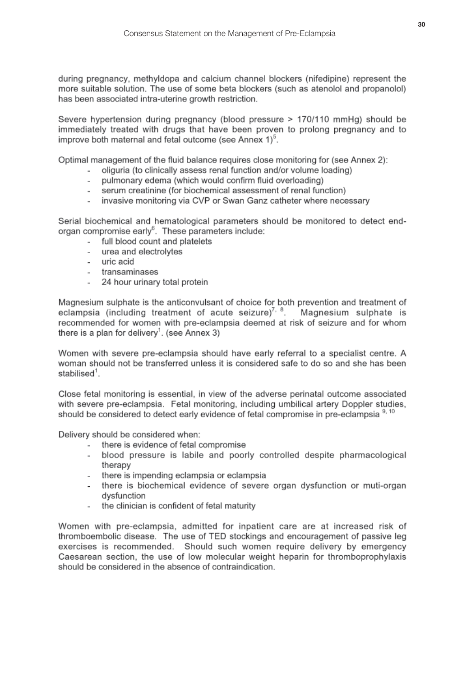during pregnancy, methyldopa and calcium channel blockers (nifedipine) represent the more suitable solution. The use of some beta blockers (such as atenolol and propanolol) has been associated intra-uterine growth restriction.

Severe hypertension during pregnancy (blood pressure > 170/110 mmHg) should be immediately treated with drugs that have been proven to prolong pregnancy and to improve both maternal and fetal outcome (see Annex 1)<sup>5</sup>.

Optimal management of the fluid balance reguires close monitoring for (see Annex 2):

- oliguria (to clinically assess renal function and/or volume loading)
- pulmonary edema (which would confirm fluid overloading)
- serum creatinine (for biochemical assessment of renal function)
- invasive monitoring via CVP or Swan Ganz catheter where necessary

Serial biochemical and hematological parameters should be monitored to detect endorgan compromise early<sup>6</sup>. These parameters include:

- full blood count and platelets
- urea and electrolytes
- uric acid
- transaminases
- 24 hour urinary total protein

Magnesium sulphate is the anticonvulsant of choice for both prevention and treatment of eclampsia (including treatment of acute seizure)<sup>7, 8</sup>. Magnesium sulphate is recommended for women with pre-eclampsia deemed at risk of seizure and for whom there is a plan for delivery<sup>1</sup>. (see Annex 3)

Women with severe pre-eclampsia should have early referral to a specialist centre. A woman should not be transferred unless it is considered safe to do so and she has been stabilised<sup>1</sup>.

Close fetal monitoring is essential, in view of the adverse perinatal outcome associated with severe pre-eclampsia. Fetal monitoring, including umbilical artery Doppler studies, should be considered to detect early evidence of fetal compromise in pre-eclampsia <sup>9, 10</sup>

Delivery should be considered when:

- there is evidence of fetal compromise  $\mathcal{L}^{\mathcal{L}}$
- blood pressure is labile and poorly controlled despite pharmacological therapy
- there is impending eclampsia or eclampsia
- there is biochemical evidence of severe organ dysfunction or muti-organ dysfunction
- the clinician is confident of fetal maturity  $\sim$

Women with pre-eclampsia, admitted for inpatient care are at increased risk of thromboembolic disease. The use of TED stockings and encouragement of passive leg exercises is recommended. Should such women require delivery by emergency Caesarean section, the use of low molecular weight heparin for thromboprophylaxis should be considered in the absence of contraindication.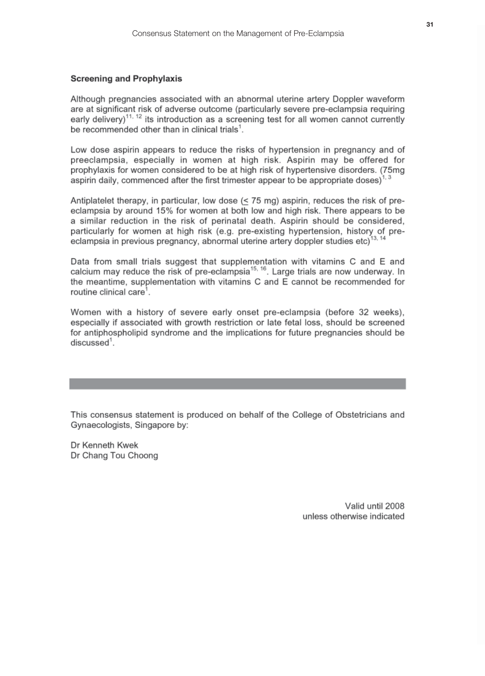### **Screening and Prophylaxis**

Although pregnancies associated with an abnormal uterine artery Doppler waveform are at significant risk of adverse outcome (particularly severe pre-eclampsia requiring early delivery)<sup>11, 12</sup> its introduction as a screening test for all women cannot currently be recommended other than in clinical trials<sup>1</sup>.

Low dose aspirin appears to reduce the risks of hypertension in pregnancy and of preeclampsia, especially in women at high risk. Aspirin may be offered for prophylaxis for women considered to be at high risk of hypertensive disorders. (75mg aspirin daily, commenced after the first trimester appear to be appropriate doses)<sup>1, 3</sup>

Antiplatelet therapy, in particular, low dose  $(< 75$  mg) aspirin, reduces the risk of preeclampsia by around 15% for women at both low and high risk. There appears to be a similar reduction in the risk of perinatal death. Aspirin should be considered, particularly for women at high risk (e.g. pre-existing hypertension, history of preeclampsia in previous pregnancy, abnormal uterine artery doppler studies etc)<sup>13, 14</sup>

Data from small trials suggest that supplementation with vitamins C and E and calcium may reduce the risk of pre-eclampsia<sup>15, 16</sup>. Large trials are now underway. In the meantime, supplementation with vitamins C and E cannot be recommended for routine clinical care<sup>1</sup>.

Women with a history of severe early onset pre-eclampsia (before 32 weeks), especially if associated with growth restriction or late fetal loss, should be screened for antiphospholipid syndrome and the implications for future pregnancies should be discussed<sup>1</sup>.

This consensus statement is produced on behalf of the College of Obstetricians and Gynaecologists, Singapore by:

Dr Kenneth Kwek Dr Chang Tou Choong

> Valid until 2008 unless otherwise indicated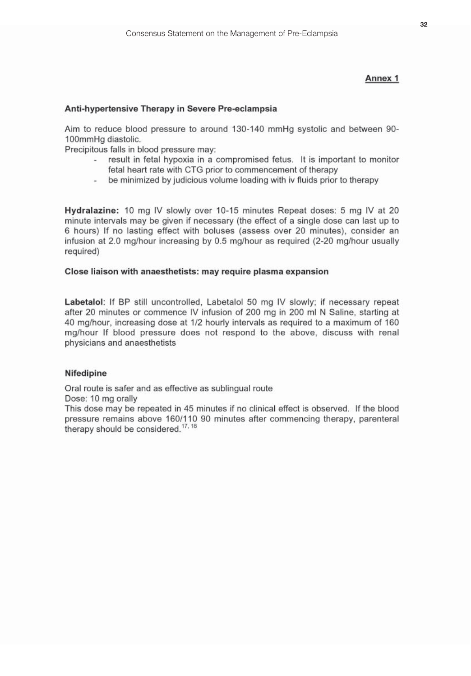## Annex 1

## Anti-hypertensive Therapy in Severe Pre-eclampsia

Aim to reduce blood pressure to around 130-140 mmHg systolic and between 90-100mmHg diastolic.

Precipitous falls in blood pressure may:

- result in fetal hypoxia in a compromised fetus. It is important to monitor fetal heart rate with CTG prior to commencement of therapy
- be minimized by judicious volume loading with iv fluids prior to therapy

Hydralazine: 10 mg IV slowly over 10-15 minutes Repeat doses: 5 mg IV at 20 minute intervals may be given if necessary (the effect of a single dose can last up to 6 hours) If no lasting effect with boluses (assess over 20 minutes), consider an infusion at 2.0 mg/hour increasing by 0.5 mg/hour as required (2-20 mg/hour usually required)

### Close liaison with anaesthetists: may require plasma expansion

Labetalol: If BP still uncontrolled, Labetalol 50 mg IV slowly; if necessary repeat after 20 minutes or commence IV infusion of 200 mg in 200 ml N Saline, starting at 40 mg/hour, increasing dose at 1/2 hourly intervals as required to a maximum of 160 mg/hour If blood pressure does not respond to the above, discuss with renal physicians and anaesthetists

### Nifedipine

Oral route is safer and as effective as sublingual route

Dose: 10 mg orally

This dose may be repeated in 45 minutes if no clinical effect is observed. If the blood pressure remains above 160/110 90 minutes after commencing therapy, parenteral therapy should be considered.<sup>17, 18</sup>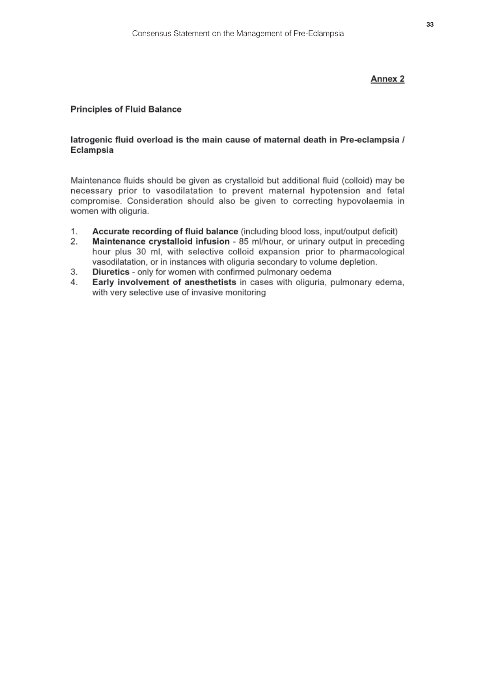## Annex 2

## **Principles of Fluid Balance**

## latrogenic fluid overload is the main cause of maternal death in Pre-eclampsia / Eclampsia

Maintenance fluids should be given as crystalloid but additional fluid (colloid) may be necessary prior to vasodilatation to prevent maternal hypotension and fetal compromise. Consideration should also be given to correcting hypovolaemia in women with oliguria.

- Accurate recording of fluid balance (including blood loss, input/output deficit) 1.
- $2.$ Maintenance crystalloid infusion - 85 ml/hour, or urinary output in preceding hour plus 30 ml, with selective colloid expansion prior to pharmacological vasodilatation, or in instances with oliguria secondary to volume depletion.
- 3. Diuretics - only for women with confirmed pulmonary oedema
- $4<sub>1</sub>$ Early involvement of anesthetists in cases with oliguria, pulmonary edema, with very selective use of invasive monitoring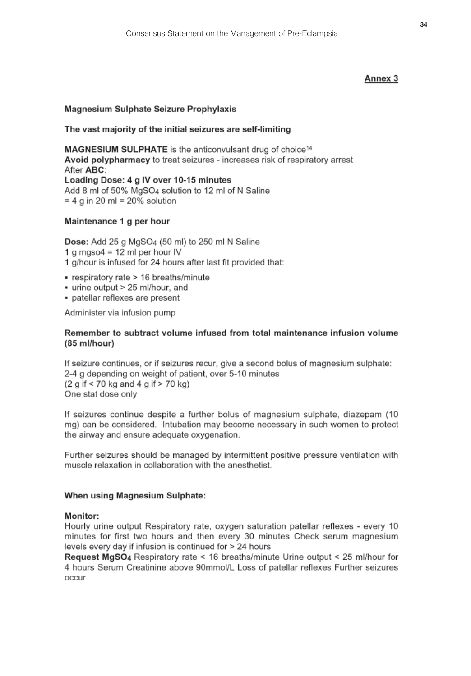## Annex 3

### **Magnesium Sulphate Seizure Prophylaxis**

### The vast majority of the initial seizures are self-limiting

MAGNESIUM SULPHATE is the anticonvulsant drug of choice<sup>14</sup> Avoid polypharmacy to treat seizures - increases risk of respiratory arrest After ABC: Loading Dose: 4 g IV over 10-15 minutes Add 8 ml of 50% MgSO4 solution to 12 ml of N Saline  $= 4$  g in 20 ml = 20% solution

## Maintenance 1 g per hour

Dose: Add 25 g MgSO<sub>4</sub> (50 ml) to 250 ml N Saline 1 a maso $4 = 12$  ml per hour IV

- 1 g/hour is infused for 24 hours after last fit provided that:
- respiratory rate > 16 breaths/minute
- urine output > 25 ml/hour, and
- · patellar reflexes are present

Administer via infusion pump

## Remember to subtract volume infused from total maintenance infusion volume  $(85 ml/hour)$

If seizure continues, or if seizures recur, give a second bolus of magnesium sulphate: 2-4 g depending on weight of patient, over 5-10 minutes  $(2 g if < 70 kg and 4 g if > 70 kg)$ One stat dose only

If seizures continue despite a further bolus of magnesium sulphate, diazepam (10) mg) can be considered. Intubation may become necessary in such women to protect the airway and ensure adequate oxygenation.

Further seizures should be managed by intermittent positive pressure ventilation with muscle relaxation in collaboration with the anesthetist

### When using Magnesium Sulphate:

### **Monitor:**

Hourly urine output Respiratory rate, oxygen saturation patellar reflexes - every 10 minutes for first two hours and then every 30 minutes Check serum magnesium levels every day if infusion is continued for > 24 hours

Request MgSO4 Respiratory rate < 16 breaths/minute Urine output < 25 ml/hour for 4 hours Serum Creatinine above 90mmol/L Loss of patellar reflexes Further seizures occur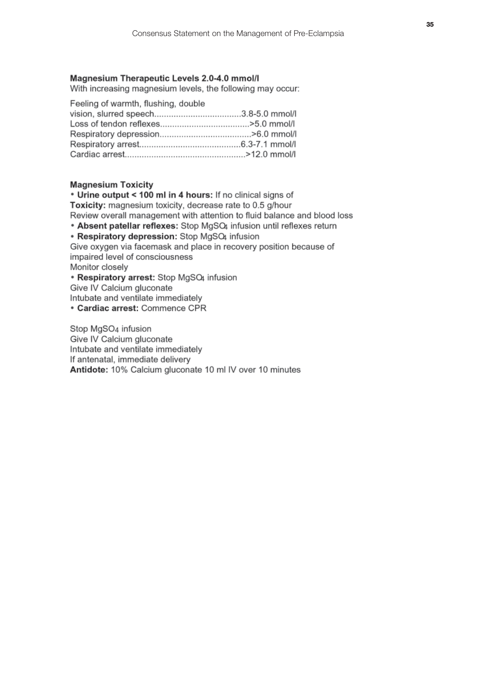### Magnesium Therapeutic Levels 2.0-4.0 mmol/l

With increasing magnesium levels, the following may occur:

Feeling of warmth, flushing, double

#### **Magnesium Toxicity**

\* Urine output < 100 ml in 4 hours: If no clinical signs of Toxicity: magnesium toxicity, decrease rate to 0.5 g/hour Review overall management with attention to fluid balance and blood loss

• Absent patellar reflexes: Stop MgSQ4 infusion until reflexes return

• Respiratory depression: Stop MgSQ4 infusion

Give oxygen via facemask and place in recovery position because of impaired level of consciousness

Monitor closely

• Respiratory arrest: Stop MgSQ infusion

Give IV Calcium gluconate

Intubate and ventilate immediately

• Cardiac arrest: Commence CPR

Stop MgSO<sub>4</sub> infusion Give IV Calcium gluconate Intubate and ventilate immediately If antenatal, immediate delivery Antidote: 10% Calcium gluconate 10 ml IV over 10 minutes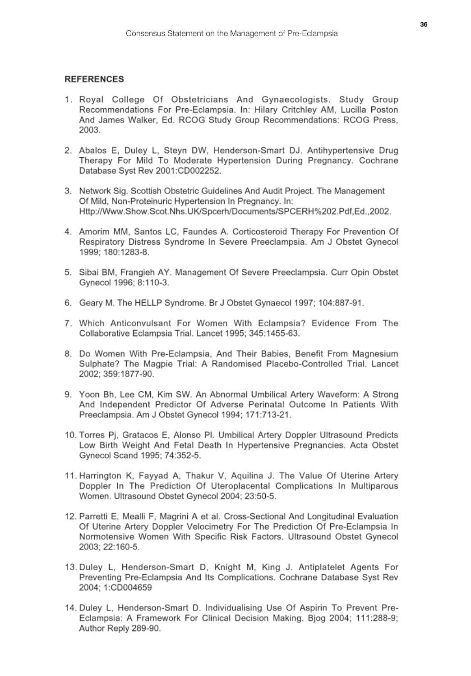## **REFERENCES**

- 1. Royal College Of Obstetricians And Gynaecologists. Study Group Recommendations For Pre-Eclampsia. In: Hilary Critchley AM, Lucilla Poston And James Walker, Ed. RCOG Study Group Recommendations: RCOG Press. 2003.
- 2. Abalos E, Duley L, Steyn DW, Henderson-Smart DJ. Antihypertensive Drug Therapy For Mild To Moderate Hypertension During Pregnancy, Cochrane Database Syst Rev 2001:CD002252.
- 3. Network Sig. Scottish Obstetric Guidelines And Audit Project. The Management Of Mild, Non-Proteinuric Hypertension In Pregnancy. In: Http://Www.Show.Scot.Nhs.UK/Spcerh/Documents/SPCERH%202.Pdf.Ed.,2002.
- 4. Amorim MM, Santos LC, Faundes A. Corticosteroid Therapy For Prevention Of Respiratory Distress Syndrome In Severe Preeclampsia. Am J Obstet Gynecol 1999: 180:1283-8.
- 5. Sibai BM, Frangieh AY, Management Of Severe Preeclampsia, Curr Opin Obstet Gynecol 1996: 8:110-3.
- 6. Geary M. The HELLP Syndrome. Br J Obstet Gynaecol 1997; 104:887-91.
- 7. Which Anticonvulsant For Women With Eclampsia? Evidence From The Collaborative Eclampsia Trial. Lancet 1995: 345:1455-63.
- 8. Do Women With Pre-Eclampsia, And Their Babies, Benefit From Magnesium Sulphate? The Magpie Trial: A Randomised Placebo-Controlled Trial. Lancet 2002: 359:1877-90.
- 9. Yoon Bh, Lee CM, Kim SW, An Abnormal Umbilical Artery Waveform: A Strong And Independent Predictor Of Adverse Perinatal Outcome In Patients With Preeclampsia. Am J Obstet Gynecol 1994; 171:713-21.
- 10. Torres Pj, Gratacos E, Alonso Pl. Umbilical Artery Doppler Ultrasound Predicts Low Birth Weight And Fetal Death In Hypertensive Pregnancies. Acta Obstet Gynecol Scand 1995: 74:352-5.
- 11. Harrington K, Fayyad A, Thakur V, Aquilina J. The Value Of Uterine Artery Doppler In The Prediction Of Uteroplacental Complications In Multiparous Women. Ultrasound Obstet Gynecol 2004; 23:50-5.
- 12. Parretti E, Mealli F, Magrini A et al. Cross-Sectional And Longitudinal Evaluation Of Uterine Artery Doppler Velocimetry For The Prediction Of Pre-Eclampsia In Normotensive Women With Specific Risk Factors. Ultrasound Obstet Gynecol 2003; 22:160-5.
- 13. Duley L. Henderson-Smart D. Knight M. King J. Antiplatelet Agents For Preventing Pre-Eclampsia And Its Complications. Cochrane Database Syst Rev 2004: 1:CD004659
- 14. Duley L. Henderson-Smart D. Individualising Use Of Aspirin To Prevent Pre-Eclampsia: A Framework For Clinical Decision Making. Bjog 2004; 111:288-9; Author Reply 289-90.